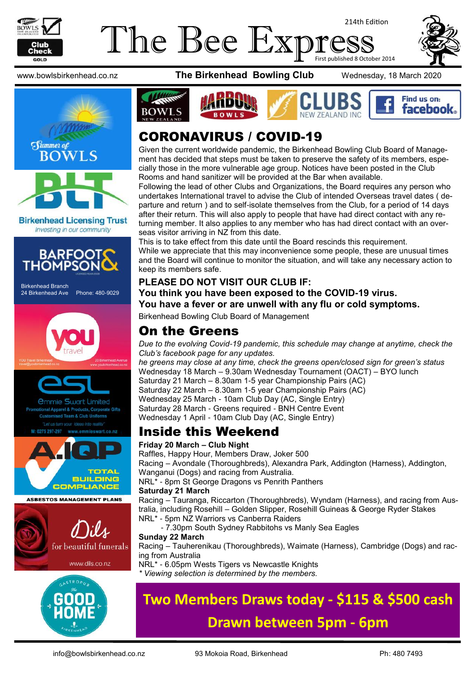

## The Bee Exp 214th Edition First published 8 October 2014





**Birkenhead Licensing Trust** Investing in our community



Birkenhead Branch 24 Birkenhead Ave Phone: 480-9029





mmie Swart Limited rel & Products, Corporate Gifts



**ASBESTOS MANAGEMENT PLANS** 





www.bowlsbirkenhead.co.nz **The Birkenhead Bowling Club** Wednesday, 18 March 2020







# CORONAVIRUS / COVID-19

Given the current worldwide pandemic, the Birkenhead Bowling Club Board of Management has decided that steps must be taken to preserve the safety of its members, especially those in the more vulnerable age group. Notices have been posted in the Club Rooms and hand sanitizer will be provided at the Bar when available.

Following the lead of other Clubs and Organizations, the Board requires any person who undertakes International travel to advise the Club of intended Overseas travel dates ( departure and return ) and to self-isolate themselves from the Club, for a period of 14 days after their return. This will also apply to people that have had direct contact with any returning member. It also applies to any member who has had direct contact with an overseas visitor arriving in NZ from this date.

This is to take effect from this date until the Board rescinds this requirement. While we appreciate that this may inconvenience some people, these are unusual times and the Board will continue to monitor the situation, and will take any necessary action to keep its members safe.

### **PLEASE DO NOT VISIT OUR CLUB IF: You think you have been exposed to the COVID-19 virus. You have a fever or are unwell with any flu or cold symptoms.**

Birkenhead Bowling Club Board of Management

## On the Greens

*Due to the evolving Covid-19 pandemic, this schedule may change at anytime, check the Club's facebook page for any updates. he greens may close at any time, check the greens open/closed sign for green's status* Wednesday 18 March – 9.30am Wednesday Tournament (OACT) – BYO lunch Saturday 21 March – 8.30am 1-5 year Championship Pairs (AC) Saturday 22 March – 8.30am 1-5 year Championship Pairs (AC)

Wednesday 25 March - 10am Club Day (AC, Single Entry) Saturday 28 March - Greens required - BNH Centre Event

Wednesday 1 April - 10am Club Day (AC, Single Entry)

## Inside this Weekend

## **Friday 20 March – Club Night**

Raffles, Happy Hour, Members Draw, Joker 500 Racing – Avondale (Thoroughbreds), Alexandra Park, Addington (Harness), Addington, Wanganui (Dogs) and racing from Australia.

NRL\* - 8pm St George Dragons vs Penrith Panthers

#### **Saturday 21 March**

Racing – Tauranga, Riccarton (Thoroughbreds), Wyndam (Harness), and racing from Australia, including Rosehill – Golden Slipper, Rosehill Guineas & George Ryder Stakes NRL\* - 5pm NZ Warriors vs Canberra Raiders

- 7.30pm South Sydney Rabbitohs vs Manly Sea Eagles

## **Sunday 22 March**

Racing – Tauherenikau (Thoroughbreds), Waimate (Harness), Cambridge (Dogs) and racing from Australia

NRL\* - 6.05pm Wests Tigers vs Newcastle Knights *\* Viewing selection is determined by the members.*

# **Two Members Draws today - \$115 & \$500 cash**

# **Drawn between 5pm - 6pm**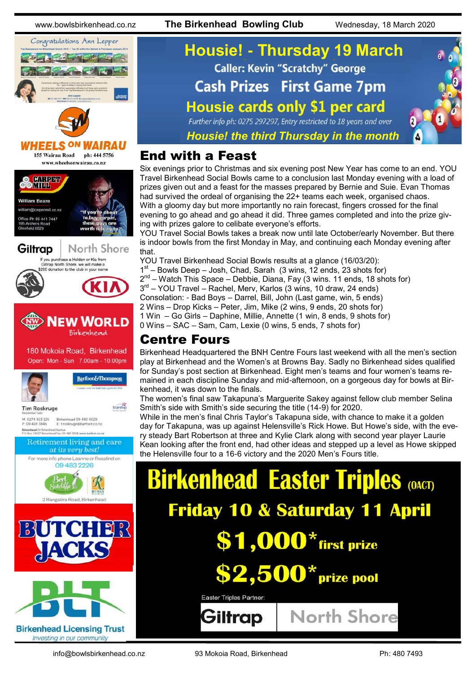www.bowlsbirkenhead.co.nz **The Birkenhead Bowling Club** Wednesday, 18 March 2020



*Housie! the third Thursday in the month*

## End with a Feast

Six evenings prior to Christmas and six evening post New Year has come to an end. YOU Travel Birkenhead Social Bowls came to a conclusion last Monday evening with a load of prizes given out and a feast for the masses prepared by Bernie and Suie. Evan Thomas had survived the ordeal of organising the 22+ teams each week, organised chaos. With a gloomy day but more importantly no rain forecast, fingers crossed for the final evening to go ahead and go ahead it did. Three games completed and into the prize giving with prizes galore to celibate everyone's efforts.

YOU Travel Social Bowls takes a break now until late October/early November. But there is indoor bowls from the first Monday in May, and continuing each Monday evening after that.

YOU Travel Birkenhead Social Bowls results at a glance (16/03/20):

1<sup>st</sup> – Bowls Deep – Josh, Chad, Sarah (3 wins, 12 ends, 23 shots for)

2<sup>nd</sup> – Watch This Space – Debbie, Diana, Fay (3 wins. 11 ends, 18 shots for)

3<sup>rd</sup> – YOU Travel – Rachel, Merv, Karlos (3 wins, 10 draw, 24 ends)

Consolation: - Bad Boys – Darrel, Bill, John (Last game, win, 5 ends)

2 Wins – Drop Kicks – Peter, Jim, Mike (2 wins, 9 ends, 20 shots for)

1 Win – Go Girls – Daphine, Millie, Annette (1 win, 8 ends, 9 shots for)

0 Wins – SAC – Sam, Cam, Lexie (0 wins, 5 ends, 7 shots for)

## Centre Fours

Birkenhead Headquartered the BNH Centre Fours last weekend with all the men's section play at Birkenhead and the Women's at Browns Bay. Sadly no Birkenhead sides qualified for Sunday's post section at Birkenhead. Eight men's teams and four women's teams remained in each discipline Sunday and mid-afternoon, on a gorgeous day for bowls at Birkenhead, it was down to the finals.

The women's final saw Takapuna's Marguerite Sakey against fellow club member Selina Smith's side with Smith's side securing the title (14-9) for 2020.

While in the men's final Chris Taylor's Takapuna side, with chance to make it a golden day for Takapuna, was up against Helensville's Rick Howe. But Howe's side, with the every steady Bart Robertson at three and Kylie Clark along with second year player Laurie Kean looking after the front end, had other ideas and stepped up a level as Howe skipped the Helensville four to a 16-6 victory and the 2020 Men's Fours title.

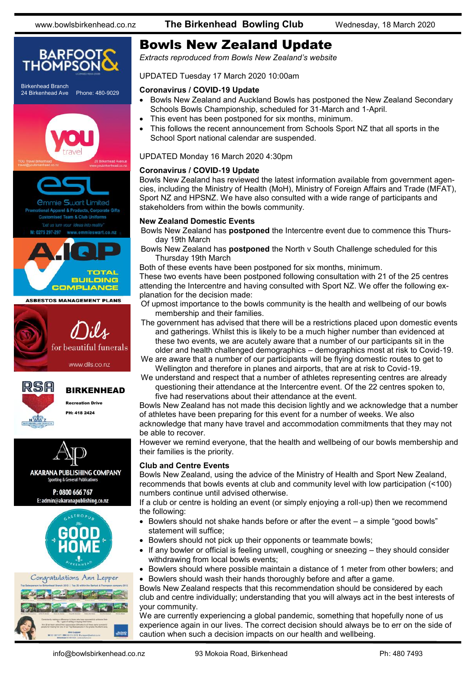

# Bowls New Zealand Update

*Extracts reproduced from Bowls New Zealand's website*

UPDATED Tuesday 17 March 2020 10:00am

#### **Coronavirus / COVID-19 Update**

- Bowls New Zealand and Auckland Bowls has postponed the New Zealand Secondary Schools Bowls Championship, scheduled for 31-March and 1-April.
- This event has been postponed for six months, minimum.
- This follows the recent announcement from Schools Sport NZ that all sports in the School Sport national calendar are suspended.

UPDATED Monday 16 March 2020 4:30pm

#### **Coronavirus / COVID-19 Update**

Bowls New Zealand has reviewed the latest information available from government agencies, including the Ministry of Health (MoH), Ministry of Foreign Affairs and Trade (MFAT), Sport NZ and HPSNZ. We have also consulted with a wide range of participants and stakeholders from within the bowls community.

#### **New Zealand Domestic Events**

Bowls New Zealand has **postponed** the Intercentre event due to commence this Thursday 19th March

Bowls New Zealand has **postponed** the North v South Challenge scheduled for this Thursday 19th March

Both of these events have been postponed for six months, minimum. These two events have been postponed following consultation with 21 of the 25 centres

attending the Intercentre and having consulted with Sport NZ. We offer the following explanation for the decision made:

- Of upmost importance to the bowls community is the health and wellbeing of our bowls membership and their families.
- The government has advised that there will be a restrictions placed upon domestic events and gatherings. Whilst this is likely to be a much higher number than evidenced at these two events, we are acutely aware that a number of our participants sit in the older and health challenged demographics – demographics most at risk to Covid-19.

We are aware that a number of our participants will be flying domestic routes to get to Wellington and therefore in planes and airports, that are at risk to Covid-19.

We understand and respect that a number of athletes representing centres are already questioning their attendance at the Intercentre event. Of the 22 centres spoken to, five had reservations about their attendance at the event.

Bowls New Zealand has not made this decision lightly and we acknowledge that a number of athletes have been preparing for this event for a number of weeks. We also acknowledge that many have travel and accommodation commitments that they may not be able to recover.

However we remind everyone, that the health and wellbeing of our bowls membership and their families is the priority.

#### **Club and Centre Events**

Bowls New Zealand, using the advice of the Ministry of Health and Sport New Zealand, recommends that bowls events at club and community level with low participation (<100) numbers continue until advised otherwise.

If a club or centre is holding an event (or simply enjoying a roll-up) then we recommend the following:

- Bowlers should not shake hands before or after the event a simple "good bowls" statement will suffice;
- Bowlers should not pick up their opponents or teammate bowls;
- If any bowler or official is feeling unwell, coughing or sneezing they should consider withdrawing from local bowls events;
- Bowlers should where possible maintain a distance of 1 meter from other bowlers; and
- Bowlers should wash their hands thoroughly before and after a game.

Bowls New Zealand respects that this recommendation should be considered by each club and centre individually; understanding that you will always act in the best interests of your community.

We are currently experiencing a global pandemic, something that hopefully none of us experience again in our lives. The correct decision should always be to err on the side of caution when such a decision impacts on our health and wellbeing.